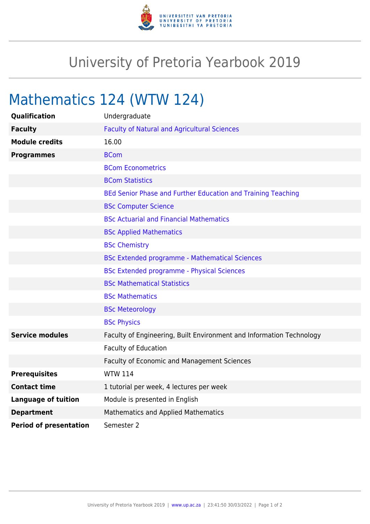

## University of Pretoria Yearbook 2019

## Mathematics 124 (WTW 124)

| Qualification                 | Undergraduate                                                        |
|-------------------------------|----------------------------------------------------------------------|
| <b>Faculty</b>                | <b>Faculty of Natural and Agricultural Sciences</b>                  |
| <b>Module credits</b>         | 16.00                                                                |
| <b>Programmes</b>             | <b>BCom</b>                                                          |
|                               | <b>BCom Econometrics</b>                                             |
|                               | <b>BCom Statistics</b>                                               |
|                               | BEd Senior Phase and Further Education and Training Teaching         |
|                               | <b>BSc Computer Science</b>                                          |
|                               | <b>BSc Actuarial and Financial Mathematics</b>                       |
|                               | <b>BSc Applied Mathematics</b>                                       |
|                               | <b>BSc Chemistry</b>                                                 |
|                               | <b>BSc Extended programme - Mathematical Sciences</b>                |
|                               | <b>BSc Extended programme - Physical Sciences</b>                    |
|                               | <b>BSc Mathematical Statistics</b>                                   |
|                               | <b>BSc Mathematics</b>                                               |
|                               | <b>BSc Meteorology</b>                                               |
|                               | <b>BSc Physics</b>                                                   |
| <b>Service modules</b>        | Faculty of Engineering, Built Environment and Information Technology |
|                               | Faculty of Education                                                 |
|                               | Faculty of Economic and Management Sciences                          |
| <b>Prerequisites</b>          | <b>WTW 114</b>                                                       |
| <b>Contact time</b>           | 1 tutorial per week, 4 lectures per week                             |
| <b>Language of tuition</b>    | Module is presented in English                                       |
| <b>Department</b>             | Mathematics and Applied Mathematics                                  |
| <b>Period of presentation</b> | Semester 2                                                           |